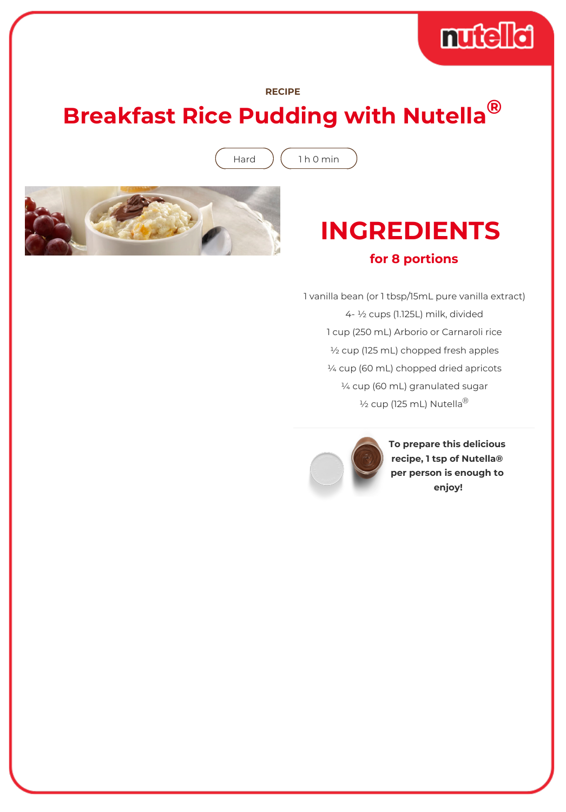# muddid

#### **RECIPE**

## **Breakfast Rice Pudding with Nutella®**

Hard  $($  1 h 0 min



### **INGREDIENTS for 8 portions**

1 vanilla bean (or 1 tbsp/15mL pure vanilla extract) 4- ½ cups (1.125L) milk, divided 1 cup (250 mL) Arborio or Carnaroli rice ½ cup (125 mL) chopped fresh apples ¼ cup (60 mL) chopped dried apricots ¼ cup (60 mL) granulated sugar  $\frac{1}{2}$  cup (125 mL) Nutella<sup>®</sup>



**To prepare this delicious recipe, 1 tsp of Nutella® per person is enough to enjoy!**